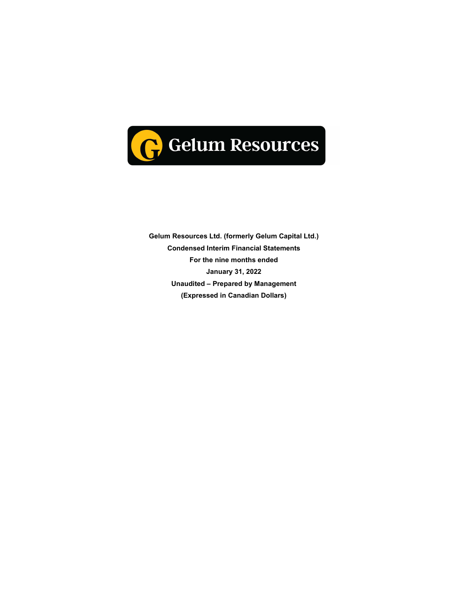

**Gelum Resources Ltd. (formerly Gelum Capital Ltd.) Condensed Interim Financial Statements For the nine months ended January 31, 2022 Unaudited – Prepared by Management (Expressed in Canadian Dollars)**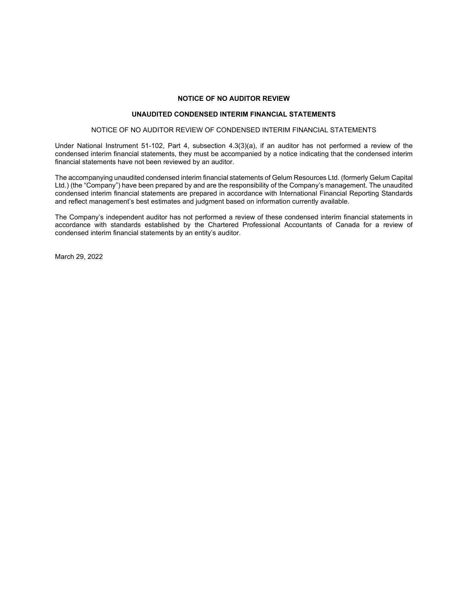#### **NOTICE OF NO AUDITOR REVIEW**

#### **UNAUDITED CONDENSED INTERIM FINANCIAL STATEMENTS**

#### NOTICE OF NO AUDITOR REVIEW OF CONDENSED INTERIM FINANCIAL STATEMENTS

Under National Instrument 51-102, Part 4, subsection 4.3(3)(a), if an auditor has not performed a review of the condensed interim financial statements, they must be accompanied by a notice indicating that the condensed interim financial statements have not been reviewed by an auditor.

The accompanying unaudited condensed interim financial statements of Gelum Resources Ltd. (formerly Gelum Capital Ltd.) (the "Company") have been prepared by and are the responsibility of the Company's management. The unaudited condensed interim financial statements are prepared in accordance with International Financial Reporting Standards and reflect management's best estimates and judgment based on information currently available.

The Company's independent auditor has not performed a review of these condensed interim financial statements in accordance with standards established by the Chartered Professional Accountants of Canada for a review of condensed interim financial statements by an entity's auditor.

March 29, 2022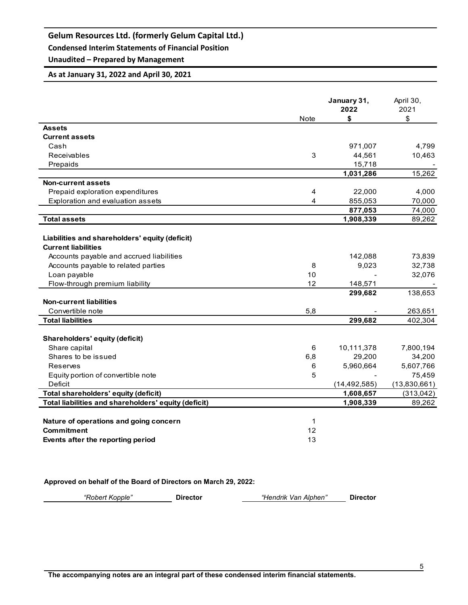**Condensed Interim Statements of Financial Position**

## **Unaudited – Prepared by Management**

### **As at January 31, 2022 and April 30, 2021**

|                                                      |                | January 31,<br>2022 | April 30,<br>2021 |
|------------------------------------------------------|----------------|---------------------|-------------------|
| <b>Assets</b>                                        | <b>Note</b>    | \$                  | \$                |
| <b>Current assets</b>                                |                |                     |                   |
| Cash                                                 |                | 971,007             | 4,799             |
| Receivables                                          | 3              |                     |                   |
|                                                      |                | 44,561              | 10,463            |
| Prepaids                                             |                | 15,718              | 15,262            |
| <b>Non-current assets</b>                            |                | 1,031,286           |                   |
| Prepaid exploration expenditures                     | $\overline{4}$ |                     |                   |
|                                                      | 4              | 22,000<br>855,053   | 4,000<br>70,000   |
| Exploration and evaluation assets                    |                | 877,053             | 74,000            |
| <b>Total assets</b>                                  |                | 1,908,339           | 89,262            |
|                                                      |                |                     |                   |
| Liabilities and shareholders' equity (deficit)       |                |                     |                   |
| <b>Current liabilities</b>                           |                |                     |                   |
| Accounts payable and accrued liabilities             |                | 142,088             | 73,839            |
| Accounts payable to related parties                  | 8              | 9,023               | 32,738            |
| Loan payable                                         | 10             |                     | 32,076            |
| Flow-through premium liability                       | 12             | 148,571             |                   |
|                                                      |                | 299,682             | 138,653           |
| <b>Non-current liabilities</b>                       |                |                     |                   |
| Convertible note                                     | 5,8            |                     | 263,651           |
| <b>Total liabilities</b>                             |                | 299,682             | 402,304           |
|                                                      |                |                     |                   |
| Shareholders' equity (deficit)                       |                |                     |                   |
| Share capital                                        | 6              | 10,111,378          | 7,800,194         |
| Shares to be issued                                  | 6,8            | 29,200              | 34,200            |
| Reserves                                             | 6              | 5,960,664           | 5,607,766         |
| Equity portion of convertible note                   | 5              |                     | 75,459            |
| Deficit                                              |                | (14, 492, 585)      | (13,830,661)      |
| Total shareholders' equity (deficit)                 |                | 1,608,657           | (313, 042)        |
| Total liabilities and shareholders' equity (deficit) |                | 1,908,339           | 89,262            |
|                                                      |                |                     |                   |
| Nature of operations and going concern               | 1              |                     |                   |
| <b>Commitment</b>                                    | 12             |                     |                   |
| Events after the reporting period                    | 13             |                     |                   |

**Approved on behalf of the Board of Directors on March 29, 2022:** 

*"Robert Kopple"* **Director** *"Hendrik Van Alphen"* **Director**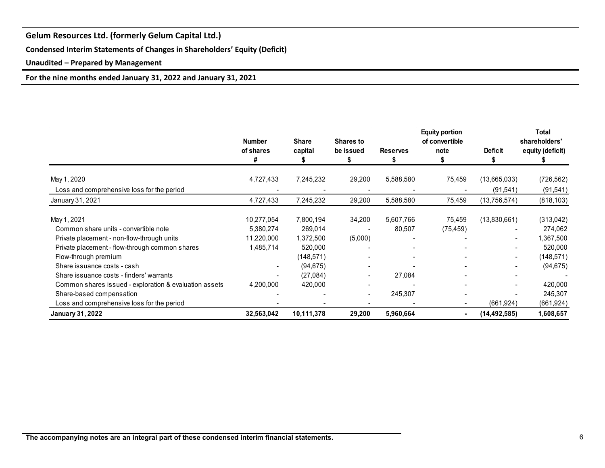**Condensed Interim Statements of Changes in Shareholders' Equity (Deficit)**

**Unaudited – Prepared by Management**

**For the nine months ended January 31, 2022 and January 31, 2021**

|                                                        | <b>Number</b><br>of shares<br># | <b>Share</b><br>capital | <b>Shares to</b><br>be issued | <b>Reserves</b> | <b>Equity portion</b><br>of convertible<br>note | <b>Deficit</b> | <b>Total</b><br>shareholders'<br>equity (deficit) |
|--------------------------------------------------------|---------------------------------|-------------------------|-------------------------------|-----------------|-------------------------------------------------|----------------|---------------------------------------------------|
| May 1, 2020                                            | 4,727,433                       | 7,245,232               | 29,200                        | 5,588,580       | 75,459                                          | (13,665,033)   | (726, 562)                                        |
| Loss and comprehensive loss for the period             |                                 |                         |                               |                 |                                                 | (91, 541)      | (91, 541)                                         |
| January 31, 2021                                       | 4,727,433                       | 7,245,232               | 29,200                        | 5,588,580       | 75,459                                          | (13,756,574)   | (818, 103)                                        |
| May 1, 2021                                            | 10,277,054                      | 7,800,194               | 34,200                        | 5,607,766       | 75,459                                          | (13,830,661)   | (313,042)                                         |
| Common share units - convertible note                  | 5,380,274                       | 269,014                 |                               | 80,507          | (75, 459)                                       |                | 274,062                                           |
| Private placement - non-flow-through units             | 11,220,000                      | 1,372,500               | (5,000)                       |                 |                                                 |                | 1,367,500                                         |
| Private placement - flow-through common shares         | 1,485,714                       | 520,000                 |                               |                 |                                                 |                | 520,000                                           |
| Flow-through premium                                   |                                 | (148,571)               |                               |                 |                                                 | $\blacksquare$ | (148, 571)                                        |
| Share issuance costs - cash                            |                                 | (94, 675)               |                               |                 |                                                 |                | (94, 675)                                         |
| Share issuance costs - finders' warrants               |                                 | (27,084)                |                               | 27,084          |                                                 |                |                                                   |
| Common shares issued - exploration & evaluation assets | 4,200,000                       | 420,000                 |                               |                 |                                                 |                | 420,000                                           |
| Share-based compensation                               |                                 |                         |                               | 245,307         |                                                 |                | 245,307                                           |
| Loss and comprehensive loss for the period             |                                 |                         |                               |                 |                                                 | (661, 924)     | (661, 924)                                        |
| <b>January 31, 2022</b>                                | 32,563,042                      | 10,111,378              | 29,200                        | 5,960,664       |                                                 | (14, 492, 585) | 1,608,657                                         |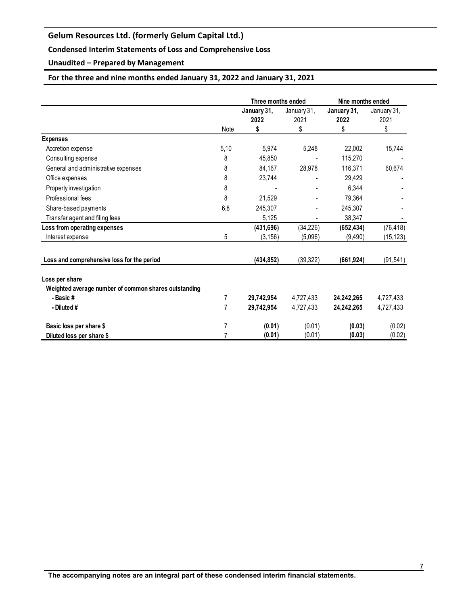### **Condensed Interim Statements of Loss and Comprehensive Loss**

**Unaudited – Prepared by Management**

### **For the three and nine months ended January 31, 2022 and January 31, 2021**

|                                                      |                | Three months ended  |                     | Nine months ended   |                     |
|------------------------------------------------------|----------------|---------------------|---------------------|---------------------|---------------------|
|                                                      |                | January 31,<br>2022 | January 31,<br>2021 | January 31,<br>2022 | January 31,<br>2021 |
|                                                      | Note           | \$                  | \$                  | \$                  | \$                  |
| <b>Expenses</b>                                      |                |                     |                     |                     |                     |
| Accretion expense                                    | 5,10           | 5,974               | 5,248               | 22,002              | 15,744              |
| Consulting expense                                   | 8              | 45,850              |                     | 115,270             |                     |
| General and administrative expenses                  | 8              | 84,167              | 28,978              | 116,371             | 60,674              |
| Office expenses                                      | 8              | 23,744              |                     | 29,429              |                     |
| Property investigation                               | 8              |                     |                     | 6,344               |                     |
| Professional fees                                    | 8              | 21,529              |                     | 79,364              |                     |
| Share-based payments                                 | 6,8            | 245,307             |                     | 245,307             |                     |
| Transfer agent and filing fees                       |                | 5,125               |                     | 38,347              |                     |
| Loss from operating expenses                         |                | (431, 696)          | (34, 226)           | (652, 434)          | (76, 418)           |
| Interest expense                                     | 5              | (3, 156)            | (5,096)             | (9,490)             | (15, 123)           |
| Loss and comprehensive loss for the period           |                | (434, 852)          | (39, 322)           | (661, 924)          | (91, 541)           |
| Loss per share                                       |                |                     |                     |                     |                     |
| Weighted average number of common shares outstanding |                |                     |                     |                     |                     |
| - Basic #                                            | $\overline{7}$ | 29,742,954          | 4,727,433           | 24,242,265          | 4,727,433           |
| - Diluted #                                          | 7              | 29,742,954          | 4,727,433           | 24,242,265          | 4,727,433           |
| Basic loss per share \$                              | 7              | (0.01)              | (0.01)              | (0.03)              | (0.02)              |
| Diluted loss per share \$                            |                | (0.01)              | (0.01)              | (0.03)              | (0.02)              |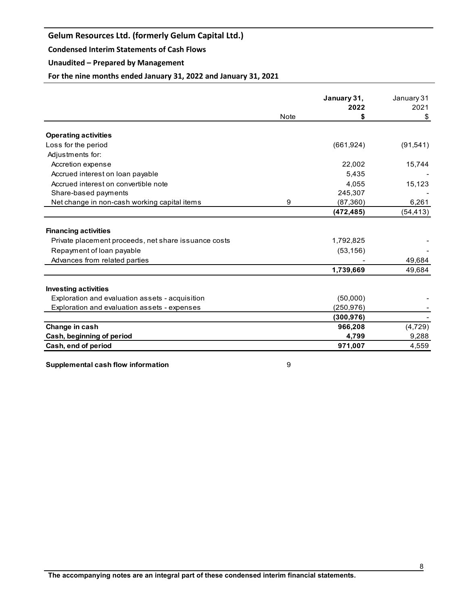#### **Condensed Interim Statements of Cash Flows**

### **Unaudited – Prepared by Management**

**For the nine months ended January 31, 2022 and January 31, 2021**

|                                                       |      | January 31, | January 31 |
|-------------------------------------------------------|------|-------------|------------|
|                                                       |      | 2022        | 2021       |
|                                                       | Note | S           | \$         |
| <b>Operating activities</b>                           |      |             |            |
| Loss for the period                                   |      | (661, 924)  | (91, 541)  |
| Adjustments for:                                      |      |             |            |
| Accretion expense                                     |      | 22,002      | 15,744     |
| Accrued interest on loan payable                      |      | 5.435       |            |
| Accrued interest on convertible note                  |      | 4,055       | 15,123     |
| Share-based payments                                  |      | 245,307     |            |
| Net change in non-cash working capital items          | 9    | (87, 360)   | 6,261      |
|                                                       |      | (472, 485)  | (54, 413)  |
| <b>Financing activities</b>                           |      |             |            |
|                                                       |      |             |            |
| Private placement proceeds, net share is suance costs |      | 1,792,825   |            |
| Repayment of loan payable                             |      | (53, 156)   |            |
| Advances from related parties                         |      |             | 49,684     |
|                                                       |      | 1,739,669   | 49,684     |
| <b>Investing activities</b>                           |      |             |            |
| Exploration and evaluation assets - acquisition       |      | (50,000)    |            |
| Exploration and evaluation assets - expenses          |      | (250, 976)  |            |
|                                                       |      | (300, 976)  |            |
| Change in cash                                        |      | 966,208     | (4, 729)   |
| Cash, beginning of period                             |      | 4,799       | 9,288      |
| Cash, end of period                                   |      | 971,007     | 4,559      |

**Supplemental cash flow information** 8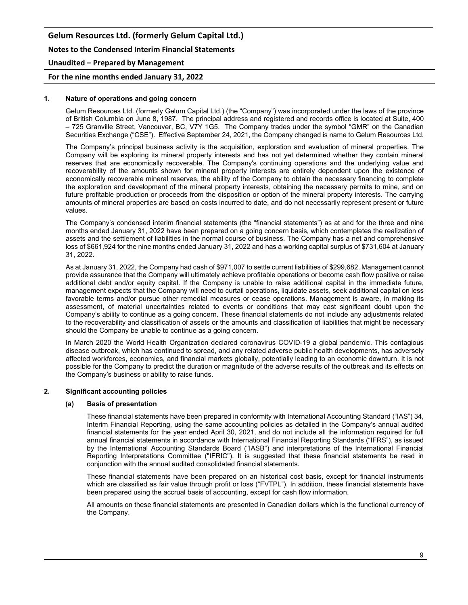**Notes to the Condensed Interim Financial Statements**

#### **Unaudited – Prepared by Management**

#### **For the nine months ended January 31, 2022**

#### **1. Nature of operations and going concern**

Gelum Resources Ltd. (formerly Gelum Capital Ltd.) (the "Company") was incorporated under the laws of the province of British Columbia on June 8, 1987. The principal address and registered and records office is located at Suite, 400 – 725 Granville Street, Vancouver, BC, V7Y 1G5. The Company trades under the symbol "GMR" on the Canadian Securities Exchange ("CSE"). Effective September 24, 2021, the Company changed is name to Gelum Resources Ltd.

The Company's principal business activity is the acquisition, exploration and evaluation of mineral properties. The Company will be exploring its mineral property interests and has not yet determined whether they contain mineral reserves that are economically recoverable. The Company's continuing operations and the underlying value and recoverability of the amounts shown for mineral property interests are entirely dependent upon the existence of economically recoverable mineral reserves, the ability of the Company to obtain the necessary financing to complete the exploration and development of the mineral property interests, obtaining the necessary permits to mine, and on future profitable production or proceeds from the disposition or option of the mineral property interests. The carrying amounts of mineral properties are based on costs incurred to date, and do not necessarily represent present or future values.

The Company's condensed interim financial statements (the "financial statements") as at and for the three and nine months ended January 31, 2022 have been prepared on a going concern basis, which contemplates the realization of assets and the settlement of liabilities in the normal course of business. The Company has a net and comprehensive loss of \$661,924 for the nine months ended January 31, 2022 and has a working capital surplus of \$731,604 at January 31, 2022.

As at January 31, 2022, the Company had cash of \$971,007 to settle current liabilities of \$299,682. Management cannot provide assurance that the Company will ultimately achieve profitable operations or become cash flow positive or raise additional debt and/or equity capital. If the Company is unable to raise additional capital in the immediate future, management expects that the Company will need to curtail operations, liquidate assets, seek additional capital on less favorable terms and/or pursue other remedial measures or cease operations. Management is aware, in making its assessment, of material uncertainties related to events or conditions that may cast significant doubt upon the Company's ability to continue as a going concern. These financial statements do not include any adjustments related to the recoverability and classification of assets or the amounts and classification of liabilities that might be necessary should the Company be unable to continue as a going concern.

In March 2020 the World Health Organization declared coronavirus COVID-19 a global pandemic. This contagious disease outbreak, which has continued to spread, and any related adverse public health developments, has adversely affected workforces, economies, and financial markets globally, potentially leading to an economic downturn. It is not possible for the Company to predict the duration or magnitude of the adverse results of the outbreak and its effects on the Company's business or ability to raise funds.

#### **2. Significant accounting policies**

#### **(a) Basis of presentation**

These financial statements have been prepared in conformity with International Accounting Standard ("IAS") 34, Interim Financial Reporting, using the same accounting policies as detailed in the Company's annual audited financial statements for the year ended April 30, 2021, and do not include all the information required for full annual financial statements in accordance with International Financial Reporting Standards ("IFRS"), as issued by the International Accounting Standards Board ("IASB") and interpretations of the International Financial Reporting Interpretations Committee ("IFRIC"). It is suggested that these financial statements be read in conjunction with the annual audited consolidated financial statements.

These financial statements have been prepared on an historical cost basis, except for financial instruments which are classified as fair value through profit or loss ("FVTPL"). In addition, these financial statements have been prepared using the accrual basis of accounting, except for cash flow information.

All amounts on these financial statements are presented in Canadian dollars which is the functional currency of the Company.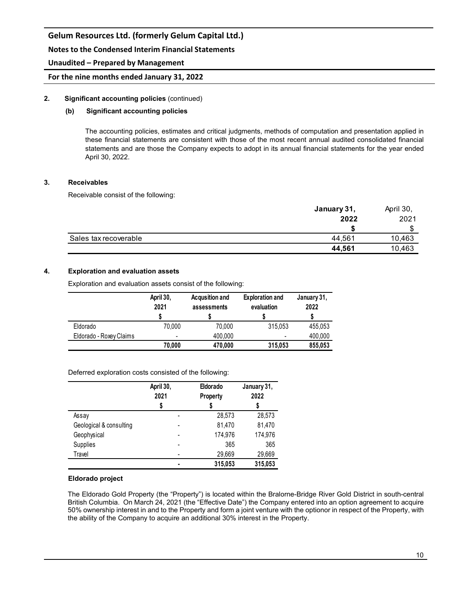**Notes to the Condensed Interim Financial Statements**

#### **Unaudited – Prepared by Management**

### **For the nine months ended January 31, 2022**

### **2. Significant accounting policies** (continued)

#### **(b) Significant accounting policies**

The accounting policies, estimates and critical judgments, methods of computation and presentation applied in these financial statements are consistent with those of the most recent annual audited consolidated financial statements and are those the Company expects to adopt in its annual financial statements for the year ended April 30, 2022.

#### **3. Receivables**

Receivable consist of the following:

|                       | January 31, | April 30, |  |
|-----------------------|-------------|-----------|--|
|                       | 2022        | 2021      |  |
|                       |             |           |  |
| Sales tax recoverable | 44.561      | 10,463    |  |
|                       | 44,561      | 10,463    |  |

### **4. Exploration and evaluation assets**

Exploration and evaluation assets consist of the following:

|                         | April 30,<br>2021 | <b>Acqusition and</b><br>assessments | <b>Exploration and</b><br>evaluation | January 31,<br>2022 |
|-------------------------|-------------------|--------------------------------------|--------------------------------------|---------------------|
| Eldorado                | 70.000            | 70.000                               | 315.053                              | 455.053             |
| Eldorado - Roxey Claims |                   | 400,000                              | ٠                                    | 400,000             |
|                         | 70.000            | 470,000                              | 315,053                              | 855,053             |

Deferred exploration costs consisted of the following:

|                         | April 30,<br>2021 | Eldorado<br><b>Property</b> | January 31,<br>2022 |
|-------------------------|-------------------|-----------------------------|---------------------|
| Assay                   |                   | 28,573                      | 28,573              |
| Geological & consulting |                   | 81,470                      | 81,470              |
| Geophysical             |                   | 174,976                     | 174,976             |
| Supplies                |                   | 365                         | 365                 |
| Travel                  |                   | 29,669                      | 29,669              |
|                         | ٠                 | 315,053                     | 315,053             |

#### **Eldorado project**

The Eldorado Gold Property (the "Property") is located within the Bralorne-Bridge River Gold District in south-central British Columbia. On March 24, 2021 (the "Effective Date") the Company entered into an option agreement to acquire 50% ownership interest in and to the Property and form a joint venture with the optionor in respect of the Property, with the ability of the Company to acquire an additional 30% interest in the Property.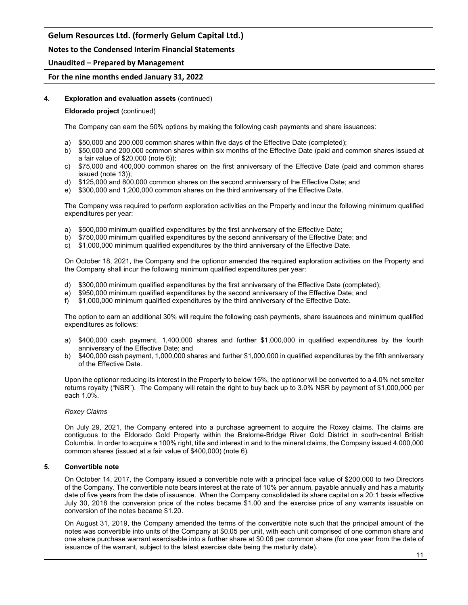### **Notes to the Condensed Interim Financial Statements**

#### **Unaudited – Prepared by Management**

#### **For the nine months ended January 31, 2022**

#### **4. Exploration and evaluation assets** (continued)

#### **Eldorado project** (continued)

The Company can earn the 50% options by making the following cash payments and share issuances:

- a) \$50,000 and 200,000 common shares within five days of the Effective Date (completed);
- b) \$50,000 and 200,000 common shares within six months of the Effective Date (paid and common shares issued at a fair value of \$20,000 (note 6));
- c) \$75,000 and 400,000 common shares on the first anniversary of the Effective Date (paid and common shares issued (note 13));
- d) \$125,000 and 800,000 common shares on the second anniversary of the Effective Date; and
- e) \$300,000 and 1,200,000 common shares on the third anniversary of the Effective Date.

The Company was required to perform exploration activities on the Property and incur the following minimum qualified expenditures per year:

- a) \$500,000 minimum qualified expenditures by the first anniversary of the Effective Date;
- b) \$750,000 minimum qualified expenditures by the second anniversary of the Effective Date; and
- c) \$1,000,000 minimum qualified expenditures by the third anniversary of the Effective Date.

On October 18, 2021, the Company and the optionor amended the required exploration activities on the Property and the Company shall incur the following minimum qualified expenditures per year:

- d) \$300,000 minimum qualified expenditures by the first anniversary of the Effective Date (completed);
- e) \$950,000 minimum qualified expenditures by the second anniversary of the Effective Date; and
- f) \$1,000,000 minimum qualified expenditures by the third anniversary of the Effective Date.

The option to earn an additional 30% will require the following cash payments, share issuances and minimum qualified expenditures as follows:

- a) \$400,000 cash payment, 1,400,000 shares and further \$1,000,000 in qualified expenditures by the fourth anniversary of the Effective Date; and
- b) \$400,000 cash payment, 1,000,000 shares and further \$1,000,000 in qualified expenditures by the fifth anniversary of the Effective Date.

Upon the optionor reducing its interest in the Property to below 15%, the optionor will be converted to a 4.0% net smelter returns royalty ("NSR"). The Company will retain the right to buy back up to 3.0% NSR by payment of \$1,000,000 per each 1.0%.

#### *Roxey Claims*

On July 29, 2021, the Company entered into a purchase agreement to acquire the Roxey claims. The claims are contiguous to the Eldorado Gold Property within the Bralorne-Bridge River Gold District in south-central British Columbia. In order to acquire a 100% right, title and interest in and to the mineral claims, the Company issued 4,000,000 common shares (issued at a fair value of \$400,000) (note 6).

#### **5. Convertible note**

On October 14, 2017, the Company issued a convertible note with a principal face value of \$200,000 to two Directors of the Company. The convertible note bears interest at the rate of 10% per annum, payable annually and has a maturity date of five years from the date of issuance. When the Company consolidated its share capital on a 20:1 basis effective July 30, 2018 the conversion price of the notes became \$1.00 and the exercise price of any warrants issuable on conversion of the notes became \$1.20.

On August 31, 2019, the Company amended the terms of the convertible note such that the principal amount of the notes was convertible into units of the Company at \$0.05 per unit, with each unit comprised of one common share and one share purchase warrant exercisable into a further share at \$0.06 per common share (for one year from the date of issuance of the warrant, subject to the latest exercise date being the maturity date).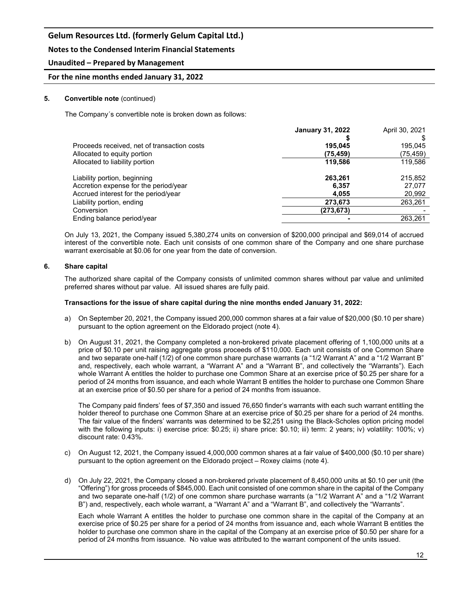### **Notes to the Condensed Interim Financial Statements**

### **Unaudited – Prepared by Management**

#### **For the nine months ended January 31, 2022**

#### **5. Convertible note** (continued)

The Company´s convertible note is broken down as follows:

|                                             | <b>January 31, 2022</b> | April 30, 2021 |
|---------------------------------------------|-------------------------|----------------|
|                                             |                         |                |
| Proceeds received, net of transaction costs | 195.045                 | 195,045        |
| Allocated to equity portion                 | (75,459)                | (75, 459)      |
| Allocated to liability portion              | 119,586                 | 119,586        |
| Liability portion, beginning                | 263,261                 | 215,852        |
| Accretion expense for the period/year       | 6.357                   | 27.077         |
| Accrued interest for the period/year        | 4.055                   | 20,992         |
| Liability portion, ending                   | 273,673                 | 263,261        |
| Conversion                                  | (273,673)               |                |
| Ending balance period/year                  |                         | 263,261        |
|                                             |                         |                |

On July 13, 2021, the Company issued 5,380,274 units on conversion of \$200,000 principal and \$69,014 of accrued interest of the convertible note. Each unit consists of one common share of the Company and one share purchase warrant exercisable at \$0.06 for one year from the date of conversion.

#### **6. Share capital**

The authorized share capital of the Company consists of unlimited common shares without par value and unlimited preferred shares without par value. All issued shares are fully paid.

#### **Transactions for the issue of share capital during the nine months ended January 31, 2022:**

- a) On September 20, 2021, the Company issued 200,000 common shares at a fair value of \$20,000 (\$0.10 per share) pursuant to the option agreement on the Eldorado project (note 4).
- b) On August 31, 2021, the Company completed a non-brokered private placement offering of 1,100,000 units at a price of \$0.10 per unit raising aggregate gross proceeds of \$110,000. Each unit consists of one Common Share and two separate one-half (1/2) of one common share purchase warrants (a "1/2 Warrant A" and a "1/2 Warrant B" and, respectively, each whole warrant, a "Warrant A" and a "Warrant B", and collectively the "Warrants"). Each whole Warrant A entitles the holder to purchase one Common Share at an exercise price of \$0.25 per share for a period of 24 months from issuance, and each whole Warrant B entitles the holder to purchase one Common Share at an exercise price of \$0.50 per share for a period of 24 months from issuance.

The Company paid finders' fees of \$7,350 and issued 76,650 finder's warrants with each such warrant entitling the holder thereof to purchase one Common Share at an exercise price of \$0.25 per share for a period of 24 months. The fair value of the finders' warrants was determined to be \$2,251 using the Black-Scholes option pricing model with the following inputs: i) exercise price: \$0.25; ii) share price: \$0.10; iii) term: 2 years; iv) volatility: 100%; v) discount rate: 0.43%.

- c) On August 12, 2021, the Company issued 4,000,000 common shares at a fair value of \$400,000 (\$0.10 per share) pursuant to the option agreement on the Eldorado project – Roxey claims (note 4).
- d) On July 22, 2021, the Company closed a non-brokered private placement of 8,450,000 units at \$0.10 per unit (the "Offering") for gross proceeds of \$845,000. Each unit consisted of one common share in the capital of the Company and two separate one-half (1/2) of one common share purchase warrants (a "1/2 Warrant A" and a "1/2 Warrant B") and, respectively, each whole warrant, a "Warrant A" and a "Warrant B", and collectively the "Warrants".

Each whole Warrant A entitles the holder to purchase one common share in the capital of the Company at an exercise price of \$0.25 per share for a period of 24 months from issuance and, each whole Warrant B entitles the holder to purchase one common share in the capital of the Company at an exercise price of \$0.50 per share for a period of 24 months from issuance. No value was attributed to the warrant component of the units issued.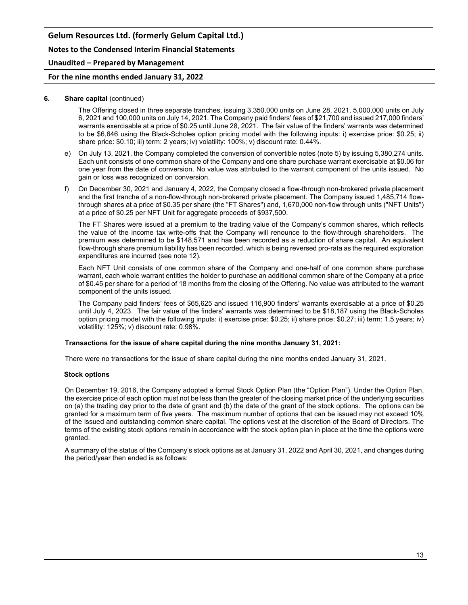**Notes to the Condensed Interim Financial Statements**

#### **Unaudited – Prepared by Management**

#### **For the nine months ended January 31, 2022**

#### **6. Share capital** (continued)

The Offering closed in three separate tranches, issuing 3,350,000 units on June 28, 2021, 5,000,000 units on July 6, 2021 and 100,000 units on July 14, 2021. The Company paid finders' fees of \$21,700 and issued 217,000 finders' warrants exercisable at a price of \$0.25 until June 28, 2021. The fair value of the finders' warrants was determined to be \$6,646 using the Black-Scholes option pricing model with the following inputs: i) exercise price: \$0.25; ii) share price: \$0.10; iii) term: 2 years; iv) volatility: 100%; v) discount rate: 0.44%.

- e) On July 13, 2021, the Company completed the conversion of convertible notes (note 5) by issuing 5,380,274 units. Each unit consists of one common share of the Company and one share purchase warrant exercisable at \$0.06 for one year from the date of conversion. No value was attributed to the warrant component of the units issued. No gain or loss was recognized on conversion.
- f) On December 30, 2021 and January 4, 2022, the Company closed a flow-through non-brokered private placement and the first tranche of a non-flow-through non-brokered private placement. The Company issued 1,485,714 flowthrough shares at a price of \$0.35 per share (the "FT Shares") and, 1,670,000 non-flow through units ("NFT Units") at a price of \$0.25 per NFT Unit for aggregate proceeds of \$937,500.

The FT Shares were issued at a premium to the trading value of the Company's common shares, which reflects the value of the income tax write-offs that the Company will renounce to the flow-through shareholders. The premium was determined to be \$148,571 and has been recorded as a reduction of share capital. An equivalent flow-through share premium liability has been recorded, which is being reversed pro-rata as the required exploration expenditures are incurred (see note 12).

Each NFT Unit consists of one common share of the Company and one-half of one common share purchase warrant, each whole warrant entitles the holder to purchase an additional common share of the Company at a price of \$0.45 per share for a period of 18 months from the closing of the Offering. No value was attributed to the warrant component of the units issued.

The Company paid finders' fees of \$65,625 and issued 116,900 finders' warrants exercisable at a price of \$0.25 until July 4, 2023. The fair value of the finders' warrants was determined to be \$18,187 using the Black-Scholes option pricing model with the following inputs: i) exercise price: \$0.25; ii) share price: \$0.27; iii) term: 1.5 years; iv) volatility: 125%; v) discount rate: 0.98%.

#### **Transactions for the issue of share capital during the nine months January 31, 2021:**

There were no transactions for the issue of share capital during the nine months ended January 31, 2021.

#### **Stock options**

On December 19, 2016, the Company adopted a formal Stock Option Plan (the "Option Plan"). Under the Option Plan, the exercise price of each option must not be less than the greater of the closing market price of the underlying securities on (a) the trading day prior to the date of grant and (b) the date of the grant of the stock options. The options can be granted for a maximum term of five years. The maximum number of options that can be issued may not exceed 10% of the issued and outstanding common share capital. The options vest at the discretion of the Board of Directors. The terms of the existing stock options remain in accordance with the stock option plan in place at the time the options were granted.

A summary of the status of the Company's stock options as at January 31, 2022 and April 30, 2021, and changes during the period/year then ended is as follows: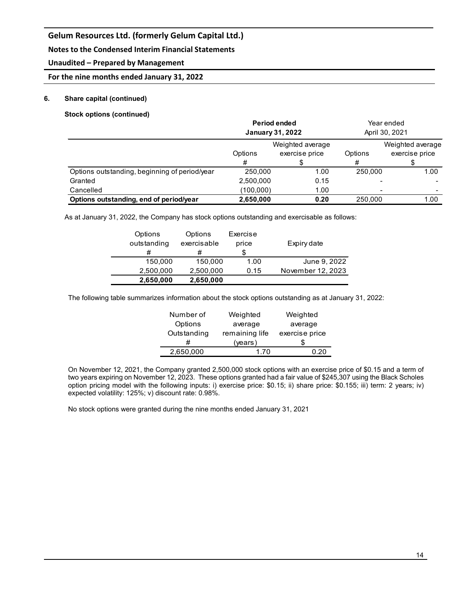### **Notes to the Condensed Interim Financial Statements**

### **Unaudited – Prepared by Management**

### **For the nine months ended January 31, 2022**

#### **6. Share capital (continued)**

**Stock options (continued)**

|                                               | <b>Period ended</b><br><b>January 31, 2022</b> |                                    |         | Year ended<br>April 30, 2021       |
|-----------------------------------------------|------------------------------------------------|------------------------------------|---------|------------------------------------|
|                                               | Options                                        | Weighted average<br>exercise price | Options | Weighted average<br>exercise price |
|                                               |                                                |                                    |         |                                    |
|                                               |                                                |                                    | #       |                                    |
| Options outstanding, beginning of period/year | 250,000                                        | 1.00                               | 250,000 | 1.00                               |
| Granted                                       | 2,500,000                                      | 0.15                               |         |                                    |
| Cancelled                                     | (100,000)                                      | 1.00                               |         |                                    |
| Options outstanding, end of period/year       | 2,650,000                                      | 0.20                               | 250,000 | 1.00                               |

As at January 31, 2022, the Company has stock options outstanding and exercisable as follows:

| 2,650,000              | 2,650,000              |                   |                   |
|------------------------|------------------------|-------------------|-------------------|
| 2,500,000              | 2.500.000              | 0.15              | November 12, 2023 |
| 150.000                | 150,000                | 1.00              | June 9, 2022      |
| #                      | #                      |                   |                   |
| Options<br>outstanding | Options<br>exercisable | Exercise<br>price | Expiry date       |

The following table summarizes information about the stock options outstanding as at January 31, 2022:

| Number of   | Weighted       | Weighted       |  |
|-------------|----------------|----------------|--|
| Options     | average        | average        |  |
| Outstanding | remaining life | exercise price |  |
|             | (years)        |                |  |
| 2,650,000   | 170            | 20             |  |

On November 12, 2021, the Company granted 2,500,000 stock options with an exercise price of \$0.15 and a term of two years expiring on November 12, 2023. These options granted had a fair value of \$245,307 using the Black Scholes option pricing model with the following inputs: i) exercise price: \$0.15; ii) share price: \$0.155; iii) term: 2 years; iv) expected volatility: 125%; v) discount rate: 0.98%.

No stock options were granted during the nine months ended January 31, 2021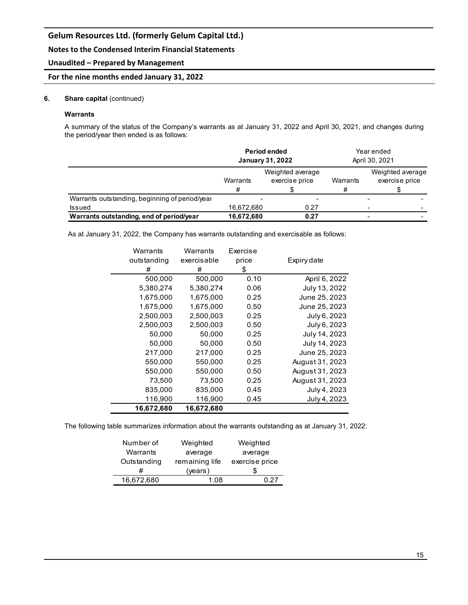**Notes to the Condensed Interim Financial Statements**

#### **Unaudited – Prepared by Management**

#### **For the nine months ended January 31, 2022**

#### **6. Share capital** (continued)

#### **Warrants**

A summary of the status of the Company's warrants as at January 31, 2022 and April 30, 2021, and changes during the period/year then ended is as follows:

|                                                | <b>Period ended</b><br><b>January 31, 2022</b> |                                    |               |                                    | Year ended<br>April 30, 2021 |
|------------------------------------------------|------------------------------------------------|------------------------------------|---------------|------------------------------------|------------------------------|
|                                                | Warrants<br>#                                  | Weighted average<br>exercise price | Warrants<br># | Weighted average<br>exercise price |                              |
| Warrants outstanding, beginning of period/year |                                                |                                    |               |                                    |                              |
| <b>Issued</b>                                  | 16,672,680                                     | 0.27                               |               |                                    |                              |
| Warrants outstanding, end of period/year       | 16,672,680                                     | 0.27                               |               |                                    |                              |

As at January 31, 2022, the Company has warrants outstanding and exercisable as follows:

| Warrants    | Warrants    | Exercise |                 |
|-------------|-------------|----------|-----------------|
| outstanding | exercisable | price    | Expiry date     |
| #           | #           | \$       |                 |
| 500,000     | 500,000     | 0.10     | April 6, 2022   |
| 5,380,274   | 5,380,274   | 0.06     | July 13, 2022   |
| 1,675,000   | 1,675,000   | 0.25     | June 25, 2023   |
| 1,675,000   | 1,675,000   | 0.50     | June 25, 2023   |
| 2,500,003   | 2,500,003   | 0.25     | July 6, 2023    |
| 2,500,003   | 2,500,003   | 0.50     | July 6, 2023    |
| 50,000      | 50,000      | 0.25     | July 14, 2023   |
| 50,000      | 50,000      | 0.50     | July 14, 2023   |
| 217,000     | 217,000     | 0.25     | June 25, 2023   |
| 550.000     | 550,000     | 0.25     | August 31, 2023 |
| 550,000     | 550,000     | 0.50     | August 31, 2023 |
| 73,500      | 73,500      | 0.25     | August 31, 2023 |
| 835,000     | 835,000     | 0.45     | July 4, 2023    |
| 116,900     | 116,900     | 0.45     | July 4, 2023    |
| 16,672,680  | 16,672,680  |          |                 |

The following table summarizes information about the warrants outstanding as at January 31, 2022:

| Weighted<br>Weighted             |
|----------------------------------|
| average<br>average               |
| exercise price<br>remaining life |
| (vears)                          |
| 1 በጸ<br>ነ 27                     |
|                                  |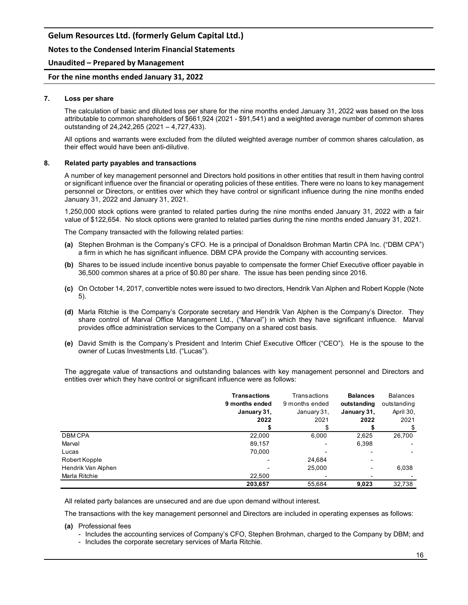#### **Notes to the Condensed Interim Financial Statements**

#### **Unaudited – Prepared by Management**

#### **For the nine months ended January 31, 2022**

#### **7. Loss per share**

The calculation of basic and diluted loss per share for the nine months ended January 31, 2022 was based on the loss attributable to common shareholders of \$661,924 (2021 - \$91,541) and a weighted average number of common shares outstanding of 24,242,265 (2021 – 4,727,433).

All options and warrants were excluded from the diluted weighted average number of common shares calculation, as their effect would have been anti-dilutive.

#### **8. Related party payables and transactions**

A number of key management personnel and Directors hold positions in other entities that result in them having control or significant influence over the financial or operating policies of these entities. There were no loans to key management personnel or Directors, or entities over which they have control or significant influence during the nine months ended January 31, 2022 and January 31, 2021.

1,250,000 stock options were granted to related parties during the nine months ended January 31, 2022 with a fair value of \$122,654. No stock options were granted to related parties during the nine months ended January 31, 2021.

The Company transacted with the following related parties:

- **(a)** Stephen Brohman is the Company's CFO. He is a principal of Donaldson Brohman Martin CPA Inc. ("DBM CPA") a firm in which he has significant influence. DBM CPA provide the Company with accounting services.
- **(b)** Shares to be issued include incentive bonus payable to compensate the former Chief Executive officer payable in 36,500 common shares at a price of \$0.80 per share. The issue has been pending since 2016.
- **(c)** On October 14, 2017, convertible notes were issued to two directors, Hendrik Van Alphen and Robert Kopple (Note 5).
- **(d)** Marla Ritchie is the Company's Corporate secretary and Hendrik Van Alphen is the Company's Director. They share control of Marval Office Management Ltd., ("Marval") in which they have significant influence. Marval provides office administration services to the Company on a shared cost basis.
- **(e)** David Smith is the Company's President and Interim Chief Executive Officer ("CEO"). He is the spouse to the owner of Lucas Investments Ltd. ("Lucas").

The aggregate value of transactions and outstanding balances with key management personnel and Directors and entities over which they have control or significant influence were as follows:

|                    | <b>Transactions</b><br>9 months ended<br>January 31,<br>2022 | Transactions<br>9 months ended<br>January 31,<br>2021 | <b>Balances</b><br>outstanding<br>January 31,<br>2022 | <b>Balances</b><br>outstanding<br>April 30,<br>2021 |
|--------------------|--------------------------------------------------------------|-------------------------------------------------------|-------------------------------------------------------|-----------------------------------------------------|
|                    |                                                              |                                                       |                                                       |                                                     |
| <b>DBMCPA</b>      | 22,000                                                       | 6,000                                                 | 2,625                                                 | 26,700                                              |
| Marval             | 89,157                                                       | -                                                     | 6,398                                                 |                                                     |
| Lucas              | 70,000                                                       |                                                       |                                                       |                                                     |
| Robert Kopple      |                                                              | 24,684                                                |                                                       |                                                     |
| Hendrik Van Alphen | $\overline{\phantom{0}}$                                     | 25,000                                                |                                                       | 6,038                                               |
| Marla Ritchie      | 22,500                                                       | $\overline{\phantom{0}}$                              |                                                       |                                                     |
|                    | 203.657                                                      | 55,684                                                | 9,023                                                 | 32,738                                              |

All related party balances are unsecured and are due upon demand without interest.

The transactions with the key management personnel and Directors are included in operating expenses as follows:

#### **(a)** Professional fees

- Includes the accounting services of Company's CFO, Stephen Brohman, charged to the Company by DBM; and
- Includes the corporate secretary services of Marla Ritchie.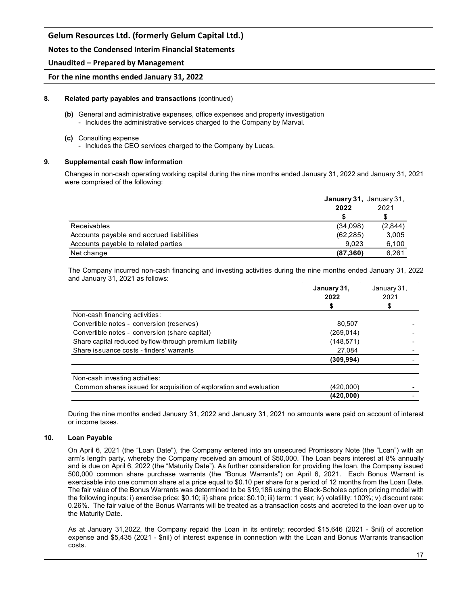#### **Notes to the Condensed Interim Financial Statements**

#### **Unaudited – Prepared by Management**

#### **For the nine months ended January 31, 2022**

#### **8. Related party payables and transactions** (continued)

- **(b)** General and administrative expenses, office expenses and property investigation - Includes the administrative services charged to the Company by Marval.
- **(c)** Consulting expense - Includes the CEO services charged to the Company by Lucas.

# **9. Supplemental cash flow information**

Changes in non-cash operating working capital during the nine months ended January 31, 2022 and January 31, 2021 were comprised of the following:

|                                          | January 31, January 31, |         |
|------------------------------------------|-------------------------|---------|
|                                          | 2022                    | 2021    |
|                                          |                         | S       |
| <b>Receivables</b>                       | (34,098)                | (2,844) |
| Accounts payable and accrued liabilities | (62, 285)               | 3,005   |
| Accounts payable to related parties      | 9.023                   | 6,100   |
| Net change                               | (87, 360)               | 6,261   |

The Company incurred non-cash financing and investing activities during the nine months ended January 31, 2022 and January 31, 2021 as follows:

|                                                                    | January 31, | January 31,<br>2021 |  |
|--------------------------------------------------------------------|-------------|---------------------|--|
|                                                                    | 2022        |                     |  |
|                                                                    |             |                     |  |
| Non-cash financing activities:                                     |             |                     |  |
| Convertible notes - conversion (reserves)                          | 80,507      |                     |  |
| Convertible notes - conversion (share capital)                     | (269, 014)  |                     |  |
| Share capital reduced by flow-through premium liability            | (148,571)   |                     |  |
| Share is suance costs - finders' warrants                          | 27,084      |                     |  |
|                                                                    | (309, 994)  |                     |  |
| Non-cash investing activities:                                     |             |                     |  |
| Common shares issued for acquisition of exploration and evaluation | (420,000)   |                     |  |
|                                                                    | (420,000)   |                     |  |

During the nine months ended January 31, 2022 and January 31, 2021 no amounts were paid on account of interest or income taxes.

#### **10. Loan Payable**

On April 6, 2021 (the "Loan Date"), the Company entered into an unsecured Promissory Note (the "Loan") with an arm's length party, whereby the Company received an amount of \$50,000. The Loan bears interest at 8% annually and is due on April 6, 2022 (the "Maturity Date"). As further consideration for providing the loan, the Company issued 500,000 common share purchase warrants (the "Bonus Warrants") on April 6, 2021. Each Bonus Warrant is exercisable into one common share at a price equal to \$0.10 per share for a period of 12 months from the Loan Date. The fair value of the Bonus Warrants was determined to be \$19,186 using the Black-Scholes option pricing model with the following inputs: i) exercise price: \$0.10; ii) share price: \$0.10; iii) term: 1 year; iv) volatility: 100%; v) discount rate: 0.26%. The fair value of the Bonus Warrants will be treated as a transaction costs and accreted to the loan over up to the Maturity Date.

As at January 31,2022, the Company repaid the Loan in its entirety; recorded \$15,646 (2021 - \$nil) of accretion expense and \$5,435 (2021 - \$nil) of interest expense in connection with the Loan and Bonus Warrants transaction costs.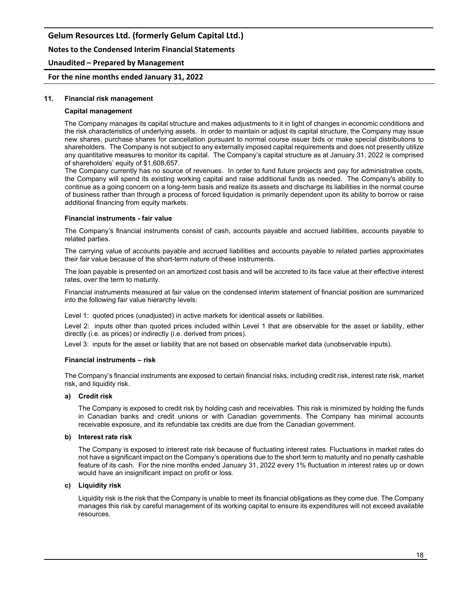**Notes to the Condensed Interim Financial Statements**

#### **Unaudited – Prepared by Management**

#### **For the nine months ended January 31, 2022**

#### **11. Financial risk management**

#### **Capital management**

The Company manages its capital structure and makes adjustments to it in light of changes in economic conditions and the risk characteristics of underlying assets. In order to maintain or adjust its capital structure, the Company may issue new shares, purchase shares for cancellation pursuant to normal course issuer bids or make special distributions to shareholders. The Company is not subject to any externally imposed capital requirements and does not presently utilize any quantitative measures to monitor its capital. The Company's capital structure as at January 31, 2022 is comprised of shareholders' equity of \$1,608,657.

The Company currently has no source of revenues. In order to fund future projects and pay for administrative costs, the Company will spend its existing working capital and raise additional funds as needed. The Company's ability to continue as a going concern on a long-term basis and realize its assets and discharge its liabilities in the normal course of business rather than through a process of forced liquidation is primarily dependent upon its ability to borrow or raise additional financing from equity markets.

#### **Financial instruments - fair value**

The Company's financial instruments consist of cash, accounts payable and accrued liabilities, accounts payable to related parties.

The carrying value of accounts payable and accrued liabilities and accounts payable to related parties approximates their fair value because of the short-term nature of these instruments.

The loan payable is presented on an amortized cost basis and will be accreted to its face value at their effective interest rates, over the term to maturity.

Financial instruments measured at fair value on the condensed interim statement of financial position are summarized into the following fair value hierarchy levels:

Level 1: quoted prices (unadjusted) in active markets for identical assets or liabilities.

Level 2: inputs other than quoted prices included within Level 1 that are observable for the asset or liability, either directly (i.e. as prices) or indirectly (i.e. derived from prices).

Level 3: inputs for the asset or liability that are not based on observable market data (unobservable inputs).

#### **Financial instruments – risk**

The Company's financial instruments are exposed to certain financial risks, including credit risk, interest rate risk, market risk, and liquidity risk.

#### **a) Credit risk**

The Company is exposed to credit risk by holding cash and receivables. This risk is minimized by holding the funds in Canadian banks and credit unions or with Canadian governments. The Company has minimal accounts receivable exposure, and its refundable tax credits are due from the Canadian government.

#### **b) Interest rate risk**

The Company is exposed to interest rate risk because of fluctuating interest rates. Fluctuations in market rates do not have a significant impact on the Company's operations due to the short term to maturity and no penalty cashable feature of its cash. For the nine months ended January 31, 2022 every 1% fluctuation in interest rates up or down would have an insignificant impact on profit or loss.

#### **c) Liquidity risk**

Liquidity risk is the risk that the Company is unable to meet its financial obligations as they come due. The Company manages this risk by careful management of its working capital to ensure its expenditures will not exceed available resources.